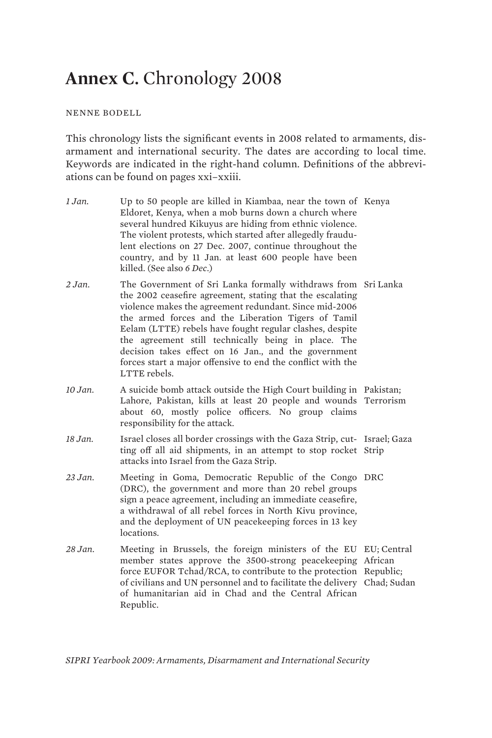# **Annex C.** Chronology 2008

## NENNE BODELL

This chronology lists the significant events in 2008 related to armaments, disarmament and international security. The dates are according to local time. Keywords are indicated in the right-hand column. Definitions of the abbreviations can be found on pages xxi–xxiii.

*1 Jan.* Up to 50 people are killed in Kiambaa, near the town of Kenya Eldoret, Kenya, when a mob burns down a church where several hundred Kikuyus are hiding from ethnic violence. The violent protests, which started after allegedly fraudulent elections on 27 Dec. 2007, continue throughout the country, and by 11 Jan. at least 600 people have been killed. (See also *6 Dec*.) *2 Jan.* The Government of Sri Lanka formally withdraws from Sri Lanka the 2002 ceasefire agreement, stating that the escalating violence makes the agreement redundant. Since mid-2006 the armed forces and the Liberation Tigers of Tamil Eelam (LTTE) rebels have fought regular clashes, despite the agreement still technically being in place. The decision takes effect on 16 Jan., and the government forces start a major offensive to end the conflict with the LTTE rebels. *10 Jan.* A suicide bomb attack outside the High Court building in Pakistan; Lahore, Pakistan, kills at least 20 people and wounds Terrorism about 60, mostly police officers. No group claims responsibility for the attack. 18 Jan. Israel closes all border crossings with the Gaza Strip, cut- Israel; Gaza ting off all aid shipments, in an attempt to stop rocket Strip attacks into Israel from the Gaza Strip. *23 Jan.* Meeting in Goma, Democratic Republic of the Congo DRC (DRC), the government and more than 20 rebel groups sign a peace agreement, including an immediate ceasefire, a withdrawal of all rebel forces in North Kivu province, and the deployment of UN peacekeeping forces in 13 key locations. *28 Jan.* Meeting in Brussels, the foreign ministers of the EU EU; Central member states approve the 3500-strong peacekeeping African force EUFOR Tchad/RCA, to contribute to the protection Republic; of civilians and UN personnel and to facilitate the delivery Chad; Sudan of humanitarian aid in Chad and the Central African Republic.

*SIPRI Yearbook 2009: Armaments, Disarmament and International Security*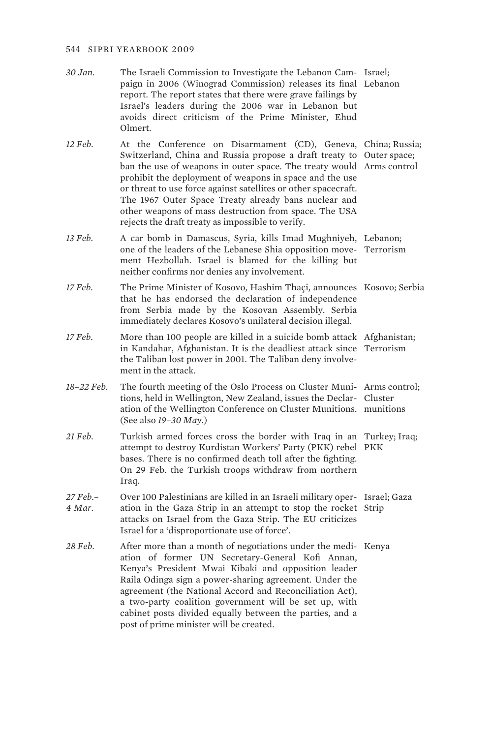| 30 Jan. | The Israeli Commission to Investigate the Lebanon Cam- Israel; |  |
|---------|----------------------------------------------------------------|--|
|         | paign in 2006 (Winograd Commission) releases its final Lebanon |  |
|         | report. The report states that there were grave failings by    |  |
|         | Israel's leaders during the 2006 war in Lebanon but            |  |
|         | avoids direct criticism of the Prime Minister. Ehud            |  |
|         | Olmert.                                                        |  |
|         |                                                                |  |

*12 Feb.* At the Conference on Disarmament (CD), Geneva, China; Russia; Switzerland, China and Russia propose a draft treaty to Outer space; ban the use of weapons in outer space. The treaty would Arms control prohibit the deployment of weapons in space and the use or threat to use force against satellites or other spacecraft. The 1967 Outer Space Treaty already bans nuclear and other weapons of mass destruction from space. The USA rejects the draft treaty as impossible to verify.

- *13 Feb.* A car bomb in Damascus, Syria, kills Imad Mughniyeh, Lebanon; one of the leaders of the Lebanese Shia opposition move-Terrorism ment Hezbollah. Israel is blamed for the killing but neither confirms nor denies any involvement.
- *17 Feb.* The Prime Minister of Kosovo, Hashim Thaçi, announces Kosovo; Serbia that he has endorsed the declaration of independence from Serbia made by the Kosovan Assembly. Serbia immediately declares Kosovo's unilateral decision illegal.
- 17 Feb. More than 100 people are killed in a suicide bomb attack Afghanistan; in Kandahar, Afghanistan. It is the deadliest attack since Terrorism the Taliban lost power in 2001. The Taliban deny involvement in the attack.
- 18–22 Feb. The fourth meeting of the Oslo Process on Cluster Muni-Arms control; tions, held in Wellington, New Zealand, issues the Declar-Cluster ation of the Wellington Conference on Cluster Munitions. munitions (See also *19–30 May*.)
- *21 Feb.* Turkish armed forces cross the border with Iraq in an Turkey; Iraq; attempt to destroy Kurdistan Workers' Party (PKK) rebel PKK bases. There is no confirmed death toll after the fighting. On 29 Feb. the Turkish troops withdraw from northern Iraq.
- *27 Feb.– 4 Mar.*  Over 100 Palestinians are killed in an Israeli military oper-Israel; Gaza ation in the Gaza Strip in an attempt to stop the rocket Strip attacks on Israel from the Gaza Strip. The EU criticizes Israel for a 'disproportionate use of force'.
- *28 Feb.* After more than a month of negotiations under the medi-Kenya ation of former UN Secretary-General Kofi Annan, Kenya's President Mwai Kibaki and opposition leader Raila Odinga sign a power-sharing agreement. Under the agreement (the National Accord and Reconciliation Act), a two-party coalition government will be set up, with cabinet posts divided equally between the parties, and a post of prime minister will be created.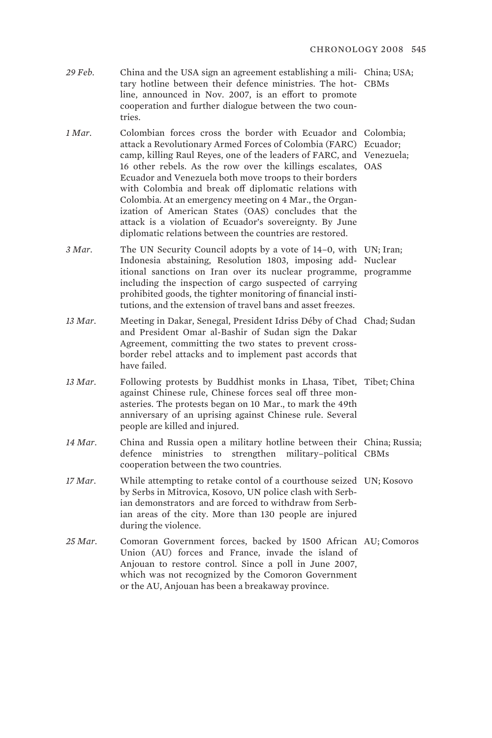*29 Feb.* China and the USA sign an agreement establishing a mili-China; USA; tary hotline between their defence ministries. The hot-CBMs line, announced in Nov. 2007, is an effort to promote cooperation and further dialogue between the two countries.

1 Mar. Colombian forces cross the border with Ecuador and Colombia; attack a Revolutionary Armed Forces of Colombia (FARC) Ecuador; camp, killing Raul Reyes, one of the leaders of FARC, and Venezuela; 16 other rebels. As the row over the killings escalates, OAS Ecuador and Venezuela both move troops to their borders with Colombia and break off diplomatic relations with Colombia. At an emergency meeting on 4 Mar., the Organization of American States (OAS) concludes that the attack is a violation of Ecuador's sovereignty. By June diplomatic relations between the countries are restored.

3 *Mar*. The UN Security Council adopts by a vote of 14–0, with UN; Iran; Indonesia abstaining, Resolution 1803, imposing add-Nuclear itional sanctions on Iran over its nuclear programme, programme including the inspection of cargo suspected of carrying prohibited goods, the tighter monitoring of financial institutions, and the extension of travel bans and asset freezes.

- 13 Mar. Meeting in Dakar, Senegal, President Idriss Déby of Chad Chad; Sudan and President Omar al-Bashir of Sudan sign the Dakar Agreement, committing the two states to prevent crossborder rebel attacks and to implement past accords that have failed.
- 13 Mar. Following protests by Buddhist monks in Lhasa, Tibet, Tibet; China against Chinese rule, Chinese forces seal off three monasteries. The protests began on 10 Mar., to mark the 49th anniversary of an uprising against Chinese rule. Several people are killed and injured.
- *14 Mar.* China and Russia open a military hotline between their China; Russia; defence ministries to strengthen military–political CBMs cooperation between the two countries.
- *17 Mar.* While attempting to retake contol of a courthouse seized UN; Kosovo by Serbs in Mitrovica, Kosovo, UN police clash with Serbian demonstrators and are forced to withdraw from Serbian areas of the city. More than 130 people are injured during the violence.
- 25 Mar. Comoran Government forces, backed by 1500 African AU; Comoros Union (AU) forces and France, invade the island of Anjouan to restore control. Since a poll in June 2007, which was not recognized by the Comoron Government or the AU, Anjouan has been a breakaway province.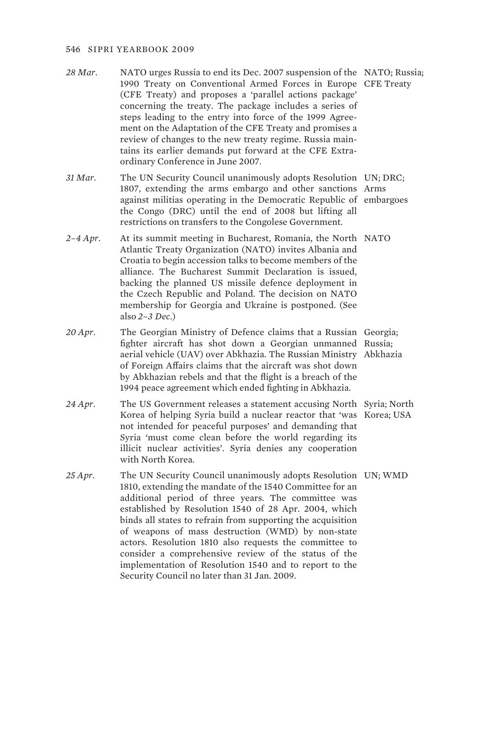- *28 Mar.* NATO urges Russia to end its Dec. 2007 suspension of the NATO; Russia; 1990 Treaty on Conventional Armed Forces in Europe CFE Treaty (CFE Treaty) and proposes a 'parallel actions package' concerning the treaty. The package includes a series of steps leading to the entry into force of the 1999 Agreement on the Adaptation of the CFE Treaty and promises a review of changes to the new treaty regime. Russia maintains its earlier demands put forward at the CFE Extraordinary Conference in June 2007.
- *31 Mar.* The UN Security Council unanimously adopts Resolution UN; DRC; 1807, extending the arms embargo and other sanctions Arms against militias operating in the Democratic Republic of embargoes the Congo (DRC) until the end of 2008 but lifting all restrictions on transfers to the Congolese Government.
- *2–4 Apr.* At its summit meeting in Bucharest, Romania, the North NATO Atlantic Treaty Organization (NATO) invites Albania and Croatia to begin accession talks to become members of the alliance. The Bucharest Summit Declaration is issued, backing the planned US missile defence deployment in the Czech Republic and Poland. The decision on NATO membership for Georgia and Ukraine is postponed. (See also *2–3 Dec*.)
- *20 Apr.* The Georgian Ministry of Defence claims that a Russian Georgia; fighter aircraft has shot down a Georgian unmanned Russia; aerial vehicle (UAV) over Abkhazia. The Russian Ministry Abkhazia of Foreign Affairs claims that the aircraft was shot down by Abkhazian rebels and that the flight is a breach of the 1994 peace agreement which ended fighting in Abkhazia.
- *24 Apr.* The US Government releases a statement accusing North Syria; North Korea of helping Syria build a nuclear reactor that 'was Korea; USA not intended for peaceful purposes' and demanding that Syria 'must come clean before the world regarding its illicit nuclear activities'. Syria denies any cooperation with North Korea.
- 25 Apr. The UN Security Council unanimously adopts Resolution UN; WMD 1810, extending the mandate of the 1540 Committee for an additional period of three years. The committee was established by Resolution 1540 of 28 Apr. 2004, which binds all states to refrain from supporting the acquisition of weapons of mass destruction (WMD) by non-state actors. Resolution 1810 also requests the committee to consider a comprehensive review of the status of the implementation of Resolution 1540 and to report to the Security Council no later than 31 Jan. 2009.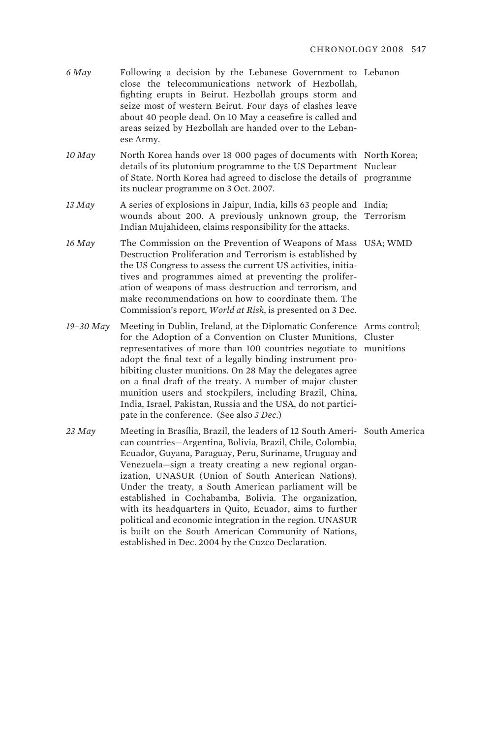| $6$ May   | Following a decision by the Lebanese Government to Lebanon<br>close the telecommunications network of Hezbollah,<br>fighting erupts in Beirut. Hezbollah groups storm and<br>seize most of western Beirut. Four days of clashes leave<br>about 40 people dead. On 10 May a ceasefire is called and<br>areas seized by Hezbollah are handed over to the Leban-<br>ese Army.                                                                                                                                                                                                                                          |                      |
|-----------|---------------------------------------------------------------------------------------------------------------------------------------------------------------------------------------------------------------------------------------------------------------------------------------------------------------------------------------------------------------------------------------------------------------------------------------------------------------------------------------------------------------------------------------------------------------------------------------------------------------------|----------------------|
| $10$ May  | North Korea hands over 18 000 pages of documents with North Korea;<br>details of its plutonium programme to the US Department Nuclear<br>of State. North Korea had agreed to disclose the details of programme<br>its nuclear programme on 3 Oct. 2007.                                                                                                                                                                                                                                                                                                                                                             |                      |
| $13$ May  | A series of explosions in Jaipur, India, kills 63 people and India;<br>wounds about 200. A previously unknown group, the Terrorism<br>Indian Mujahideen, claims responsibility for the attacks.                                                                                                                                                                                                                                                                                                                                                                                                                     |                      |
| 16 May    | The Commission on the Prevention of Weapons of Mass USA; WMD<br>Destruction Proliferation and Terrorism is established by<br>the US Congress to assess the current US activities, initia-<br>tives and programmes aimed at preventing the prolifer-<br>ation of weapons of mass destruction and terrorism, and<br>make recommendations on how to coordinate them. The<br>Commission's report, World at Risk, is presented on 3 Dec.                                                                                                                                                                                 |                      |
| 19-30 May | Meeting in Dublin, Ireland, at the Diplomatic Conference Arms control;<br>for the Adoption of a Convention on Cluster Munitions,<br>representatives of more than 100 countries negotiate to<br>adopt the final text of a legally binding instrument pro-<br>hibiting cluster munitions. On 28 May the delegates agree<br>on a final draft of the treaty. A number of major cluster<br>munition users and stockpilers, including Brazil, China,<br>India, Israel, Pakistan, Russia and the USA, do not partici-<br>pate in the conference. (See also 3 Dec.)                                                         | Cluster<br>munitions |
| $23$ May  | Meeting in Brasília, Brazil, the leaders of 12 South Ameri- South America<br>can countries-Argentina, Bolivia, Brazil, Chile, Colombia,<br>Ecuador, Guyana, Paraguay, Peru, Suriname, Uruguay and<br>Venezuela—sign a treaty creating a new regional organ-<br>ization, UNASUR (Union of South American Nations).<br>Under the treaty, a South American parliament will be<br>established in Cochabamba, Bolivia. The organization,<br>with its headquarters in Quito, Ecuador, aims to further<br>political and economic integration in the region. UNASUR<br>is built on the South American Community of Nations, |                      |

established in Dec. 2004 by the Cuzco Declaration.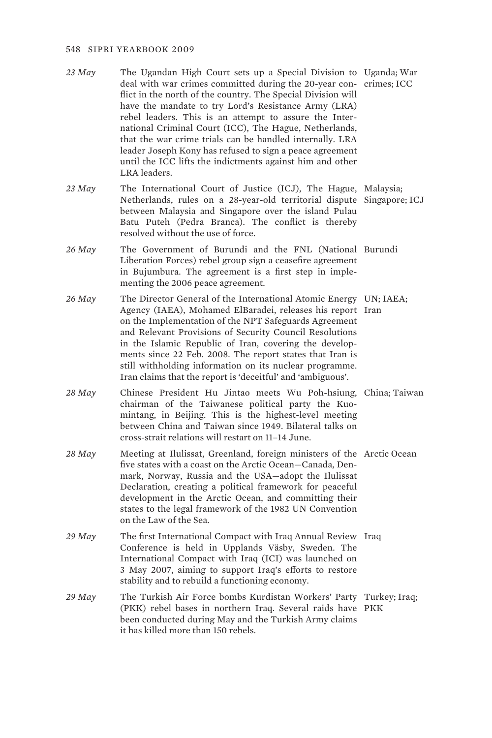- *23 May* The Ugandan High Court sets up a Special Division to Uganda; War deal with war crimes committed during the 20-year con-crimes; ICC flict in the north of the country. The Special Division will have the mandate to try Lord's Resistance Army (LRA) rebel leaders. This is an attempt to assure the International Criminal Court (ICC), The Hague, Netherlands, that the war crime trials can be handled internally. LRA leader Joseph Kony has refused to sign a peace agreement until the ICC lifts the indictments against him and other LRA leaders.
- *23 May* The International Court of Justice (ICJ), The Hague, Malaysia; Netherlands, rules on a 28-year-old territorial dispute Singapore; ICJ between Malaysia and Singapore over the island Pulau Batu Puteh (Pedra Branca). The conflict is thereby resolved without the use of force.
- *26 May* The Government of Burundi and the FNL (National Burundi Liberation Forces) rebel group sign a ceasefire agreement in Bujumbura. The agreement is a first step in implementing the 2006 peace agreement.
- *26 May* The Director General of the International Atomic Energy UN; IAEA; Agency (IAEA), Mohamed ElBaradei, releases his report Iran on the Implementation of the NPT Safeguards Agreement and Relevant Provisions of Security Council Resolutions in the Islamic Republic of Iran, covering the developments since 22 Feb. 2008. The report states that Iran is still withholding information on its nuclear programme. Iran claims that the report is 'deceitful' and 'ambiguous'.
- *28 May* Chinese President Hu Jintao meets Wu Poh-hsiung, China; Taiwan chairman of the Taiwanese political party the Kuomintang, in Beijing. This is the highest-level meeting between China and Taiwan since 1949. Bilateral talks on cross-strait relations will restart on 11–14 June.
- 28 May Meeting at Ilulissat, Greenland, foreign ministers of the Arctic Ocean five states with a coast on the Arctic Ocean—Canada, Denmark, Norway, Russia and the USA—adopt the Ilulissat Declaration, creating a political framework for peaceful development in the Arctic Ocean, and committing their states to the legal framework of the 1982 UN Convention on the Law of the Sea.
- 29 May The first International Compact with Iraq Annual Review Iraq Conference is held in Upplands Väsby, Sweden. The International Compact with Iraq (ICI) was launched on 3 May 2007, aiming to support Iraq's efforts to restore stability and to rebuild a functioning economy.
- 29 May The Turkish Air Force bombs Kurdistan Workers' Party Turkey; Iraq; (PKK) rebel bases in northern Iraq. Several raids have PKK been conducted during May and the Turkish Army claims it has killed more than 150 rebels.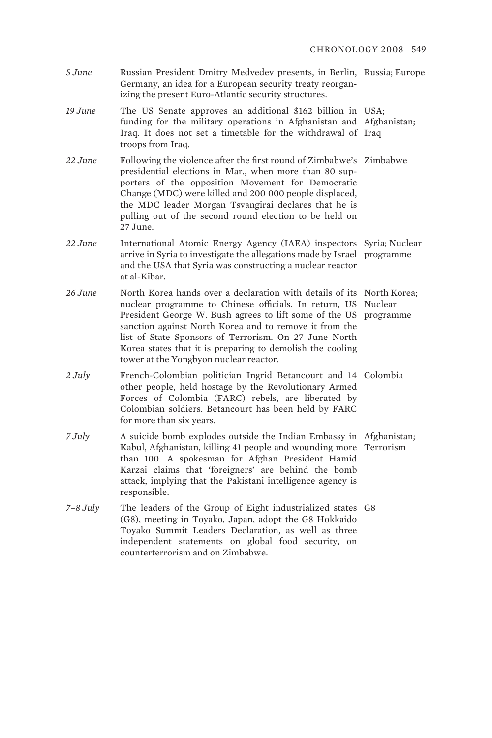- *5 June* Russian President Dmitry Medvedev presents, in Berlin, Russia; Europe Germany, an idea for a European security treaty reorganizing the present Euro-Atlantic security structures.
- *19 June* The US Senate approves an additional \$162 billion in USA; funding for the military operations in Afghanistan and Afghanistan; Iraq. It does not set a timetable for the withdrawal of Iraq troops from Iraq.
- *22 June* Following the violence after the first round of Zimbabwe's Zimbabwe presidential elections in Mar., when more than 80 supporters of the opposition Movement for Democratic Change (MDC) were killed and 200 000 people displaced, the MDC leader Morgan Tsvangirai declares that he is pulling out of the second round election to be held on 27 June.
- *22 June* International Atomic Energy Agency (IAEA) inspectors Syria; Nuclear arrive in Syria to investigate the allegations made by Israel programme and the USA that Syria was constructing a nuclear reactor at al-Kibar.
- 26 June North Korea hands over a declaration with details of its North Korea; nuclear programme to Chinese officials. In return, US Nuclear President George W. Bush agrees to lift some of the US programme sanction against North Korea and to remove it from the list of State Sponsors of Terrorism. On 27 June North Korea states that it is preparing to demolish the cooling tower at the Yongbyon nuclear reactor.
- 2 July French-Colombian politician Ingrid Betancourt and 14 Colombia other people, held hostage by the Revolutionary Armed Forces of Colombia (FARC) rebels, are liberated by Colombian soldiers. Betancourt has been held by FARC for more than six years.
- *7 July* A suicide bomb explodes outside the Indian Embassy in Afghanistan; Kabul, Afghanistan, killing 41 people and wounding more Terrorism than 100. A spokesman for Afghan President Hamid Karzai claims that 'foreigners' are behind the bomb attack, implying that the Pakistani intelligence agency is responsible.
- *7–8 July* The leaders of the Group of Eight industrialized states G8 (G8), meeting in Toyako, Japan, adopt the G8 Hokkaido Toyako Summit Leaders Declaration, as well as three independent statements on global food security, on counterterrorism and on Zimbabwe.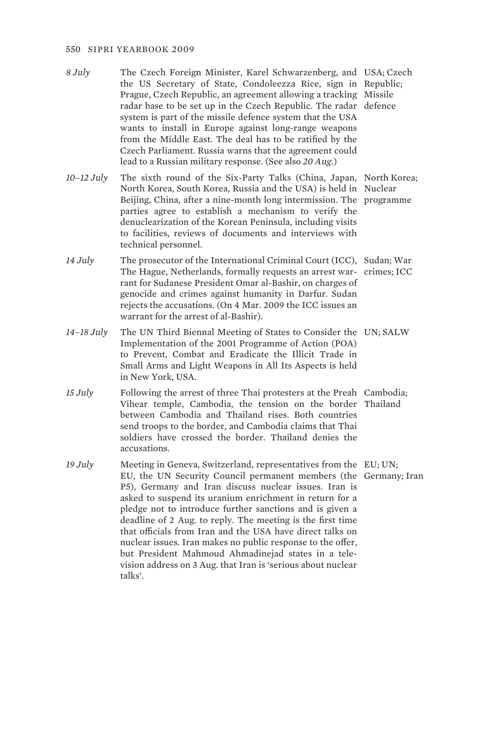- *8 July* The Czech Foreign Minister, Karel Schwarzenberg, and USA; Czech the US Secretary of State, Condoleezza Rice, sign in Republic; Prague, Czech Republic, an agreement allowing a tracking Missile radar base to be set up in the Czech Republic. The radar defence system is part of the missile defence system that the USA wants to install in Europe against long-range weapons from the Middle East. The deal has to be ratified by the Czech Parliament. Russia warns that the agreement could lead to a Russian military response. (See also *20 Aug*.)
- *10–12 July* The sixth round of the Six-Party Talks (China, Japan, North Korea; North Korea, South Korea, Russia and the USA) is held in Nuclear Beijing, China, after a nine-month long intermission. The programme parties agree to establish a mechanism to verify the denuclearization of the Korean Peninsula, including visits to facilities, reviews of documents and interviews with technical personnel.
- *14 July* The prosecutor of the International Criminal Court (ICC), Sudan; War The Hague, Netherlands, formally requests an arrest war-crimes; ICC rant for Sudanese President Omar al-Bashir, on charges of genocide and crimes against humanity in Darfur. Sudan rejects the accusations. (On 4 Mar. 2009 the ICC issues an warrant for the arrest of al-Bashir).
- *14–18 July* The UN Third Biennal Meeting of States to Consider the UN; SALW Implementation of the 2001 Programme of Action (POA) to Prevent, Combat and Eradicate the Illicit Trade in Small Arms and Light Weapons in All Its Aspects is held in New York, USA.
- 15 July Following the arrest of three Thai protesters at the Preah Cambodia; Vihear temple, Cambodia, the tension on the border Thailand between Cambodia and Thailand rises. Both countries send troops to the border, and Cambodia claims that Thai soldiers have crossed the border. Thailand denies the accusations.
- 19 July Meeting in Geneva, Switzerland, representatives from the EU; UN; EU, the UN Security Council permanent members (the Germany; Iran P5), Germany and Iran discuss nuclear issues. Iran is asked to suspend its uranium enrichment in return for a pledge not to introduce further sanctions and is given a deadline of 2 Aug. to reply. The meeting is the first time that officials from Iran and the USA have direct talks on nuclear issues. Iran makes no public response to the offer, but President Mahmoud Ahmadinejad states in a television address on 3 Aug. that Iran is 'serious about nuclear talks'.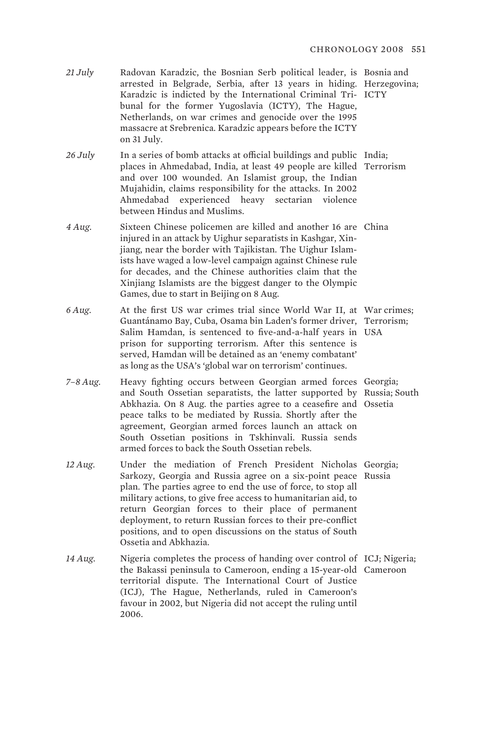- *21 July* Radovan Karadzic, the Bosnian Serb political leader, is Bosnia and arrested in Belgrade, Serbia, after 13 years in hiding. Herzegovina; Karadzic is indicted by the International Criminal Tri-ICTY bunal for the former Yugoslavia (ICTY), The Hague, Netherlands, on war crimes and genocide over the 1995 massacre at Srebrenica. Karadzic appears before the ICTY on 31 July.
- *26 July* In a series of bomb attacks at official buildings and public India; places in Ahmedabad, India, at least 49 people are killed Terrorism and over 100 wounded. An Islamist group, the Indian Mujahidin, claims responsibility for the attacks. In 2002 Ahmedabad experienced heavy sectarian violence between Hindus and Muslims.
- 4 Aug. Sixteen Chinese policemen are killed and another 16 are China injured in an attack by Uighur separatists in Kashgar, Xinjiang, near the border with Tajikistan. The Uighur Islamists have waged a low-level campaign against Chinese rule for decades, and the Chinese authorities claim that the Xinjiang Islamists are the biggest danger to the Olympic Games, due to start in Beijing on 8 Aug.
- *6 Aug.* At the first US war crimes trial since World War II, at War crimes; Guantánamo Bay, Cuba, Osama bin Laden's former driver, Terrorism; Salim Hamdan, is sentenced to five-and-a-half years in USA prison for supporting terrorism. After this sentence is served, Hamdan will be detained as an 'enemy combatant' as long as the USA's 'global war on terrorism' continues.
- *7–8 Aug.* Heavy fighting occurs between Georgian armed forces Georgia; and South Ossetian separatists, the latter supported by Russia; South Abkhazia. On 8 Aug. the parties agree to a ceasefire and Ossetia peace talks to be mediated by Russia. Shortly after the agreement, Georgian armed forces launch an attack on South Ossetian positions in Tskhinvali. Russia sends armed forces to back the South Ossetian rebels.
- *12 Aug.* Under the mediation of French President Nicholas Georgia; Sarkozy, Georgia and Russia agree on a six-point peace Russia plan. The parties agree to end the use of force, to stop all military actions, to give free access to humanitarian aid, to return Georgian forces to their place of permanent deployment, to return Russian forces to their pre-conflict positions, and to open discussions on the status of South Ossetia and Abkhazia.
- 14 Aug. Nigeria completes the process of handing over control of ICJ; Nigeria; the Bakassi peninsula to Cameroon, ending a 15-year-old Cameroon territorial dispute. The International Court of Justice (ICJ), The Hague, Netherlands, ruled in Cameroon's favour in 2002, but Nigeria did not accept the ruling until 2006.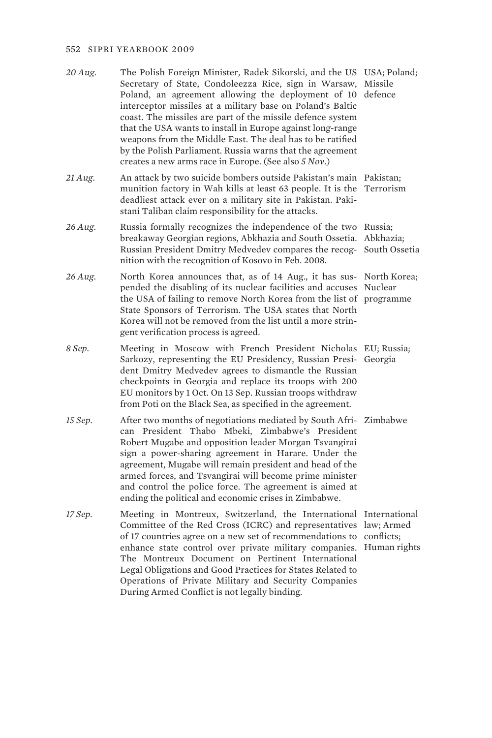- *20 Aug.* The Polish Foreign Minister, Radek Sikorski, and the US USA; Poland; Secretary of State, Condoleezza Rice, sign in Warsaw, Missile Poland, an agreement allowing the deployment of 10 defence interceptor missiles at a military base on Poland's Baltic coast. The missiles are part of the missile defence system that the USA wants to install in Europe against long-range weapons from the Middle East. The deal has to be ratified by the Polish Parliament. Russia warns that the agreement creates a new arms race in Europe. (See also *5 Nov*.)
- *21 Aug.* An attack by two suicide bombers outside Pakistan's main Pakistan; munition factory in Wah kills at least 63 people. It is the Terrorism deadliest attack ever on a military site in Pakistan. Pakistani Taliban claim responsibility for the attacks.
- 26 Aug. Russia formally recognizes the independence of the two Russia; breakaway Georgian regions, Abkhazia and South Ossetia. Abkhazia; Russian President Dmitry Medvedev compares the recog-South Ossetia nition with the recognition of Kosovo in Feb. 2008.
- 26 Aug. North Korea announces that, as of 14 Aug., it has sus- North Korea; pended the disabling of its nuclear facilities and accuses Nuclear the USA of failing to remove North Korea from the list of programme State Sponsors of Terrorism. The USA states that North Korea will not be removed from the list until a more stringent verification process is agreed.
- *8 Sep.* Meeting in Moscow with French President Nicholas EU; Russia; Sarkozy, representing the EU Presidency, Russian Presi-Georgia dent Dmitry Medvedev agrees to dismantle the Russian checkpoints in Georgia and replace its troops with 200 EU monitors by 1 Oct. On 13 Sep. Russian troops withdraw from Poti on the Black Sea, as specified in the agreement.
- *15 Sep.* After two months of negotiations mediated by South Afri-Zimbabwe can President Thabo Mbeki, Zimbabwe's President Robert Mugabe and opposition leader Morgan Tsvangirai sign a power-sharing agreement in Harare. Under the agreement, Mugabe will remain president and head of the armed forces, and Tsvangirai will become prime minister and control the police force. The agreement is aimed at ending the political and economic crises in Zimbabwe.
- *17 Sep.* Meeting in Montreux, Switzerland, the International International Committee of the Red Cross (ICRC) and representatives law; Armed of 17 countries agree on a new set of recommendations to conflicts; enhance state control over private military companies. Human rights The Montreux Document on Pertinent International Legal Obligations and Good Practices for States Related to Operations of Private Military and Security Companies During Armed Conflict is not legally binding.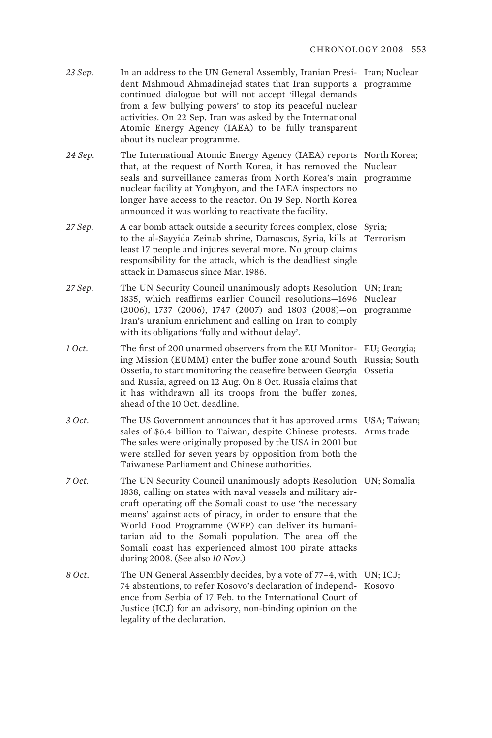| 23 Sep. | In an address to the UN General Assembly, Iranian Presi- Iran; Nuclea |  |
|---------|-----------------------------------------------------------------------|--|
|         | dent Mahmoud Ahmadinejad states that Iran supports a programme        |  |
|         | continued dialogue but will not accept 'illegal demands               |  |
|         | from a few bullying powers' to stop its peaceful nuclear              |  |
|         | activities. On 22 Sep. Iran was asked by the International            |  |
|         | Atomic Energy Agency (IAEA) to be fully transparent                   |  |
|         | about its nuclear programme.                                          |  |

*24 Sep.* The International Atomic Energy Agency (IAEA) reports North Korea; that, at the request of North Korea, it has removed the Nuclear seals and surveillance cameras from North Korea's main programme nuclear facility at Yongbyon, and the IAEA inspectors no longer have access to the reactor. On 19 Sep. North Korea announced it was working to reactivate the facility.

- 27 Sep. A car bomb attack outside a security forces complex, close Syria; to the al-Sayyida Zeinab shrine, Damascus, Syria, kills at Terrorism least 17 people and injures several more. No group claims responsibility for the attack, which is the deadliest single attack in Damascus since Mar. 1986.
- *27 Sep.* The UN Security Council unanimously adopts Resolution UN; Iran; 1835, which reaffirms earlier Council resolutions—1696 Nuclear (2006), 1737 (2006), 1747 (2007) and 1803 (2008)—on programme Iran's uranium enrichment and calling on Iran to comply with its obligations 'fully and without delay'.
- 1 *Oct*. The first of 200 unarmed observers from the EU Monitor- EU; Georgia; ing Mission (EUMM) enter the buffer zone around South Russia; South Ossetia, to start monitoring the ceasefire between Georgia Ossetia and Russia, agreed on 12 Aug. On 8 Oct. Russia claims that it has withdrawn all its troops from the buffer zones, ahead of the 10 Oct. deadline.
- 3 *Oct*. The US Government announces that it has approved arms USA; Taiwan; sales of \$6.4 billion to Taiwan, despite Chinese protests. Arms trade The sales were originally proposed by the USA in 2001 but were stalled for seven years by opposition from both the Taiwanese Parliament and Chinese authorities.
- *7 Oct.* The UN Security Council unanimously adopts Resolution UN; Somalia 1838, calling on states with naval vessels and military aircraft operating off the Somali coast to use 'the necessary means' against acts of piracy, in order to ensure that the World Food Programme (WFP) can deliver its humanitarian aid to the Somali population. The area off the Somali coast has experienced almost 100 pirate attacks during 2008. (See also *10 Nov*.)
- 8 *Oct*. The UN General Assembly decides, by a vote of 77–4, with UN; ICJ; 74 abstentions, to refer Kosovo's declaration of independ-Kosovo ence from Serbia of 17 Feb. to the International Court of Justice (ICJ) for an advisory, non-binding opinion on the legality of the declaration.

'ar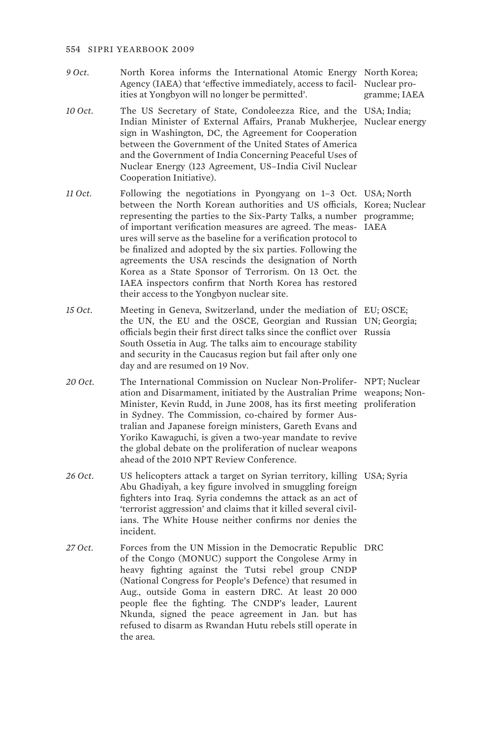- 9 Oct. North Korea informs the International Atomic Energy North Korea; Agency (IAEA) that 'effective immediately, access to facil-Nuclear proities at Yongbyon will no longer be permitted'.
- *10 Oct.* The US Secretary of State, Condoleezza Rice, and the USA; India; Indian Minister of External Affairs, Pranab Mukherjee, Nuclear energy sign in Washington, DC, the Agreement for Cooperation between the Government of the United States of America and the Government of India Concerning Peaceful Uses of Nuclear Energy (123 Agreement, US–India Civil Nuclear Cooperation Initiative).
- *11 Oct.* Following the negotiations in Pyongyang on 1–3 Oct. USA; North between the North Korean authorities and US officials, Korea; Nuclear representing the parties to the Six-Party Talks, a number programme; of important verification measures are agreed. The meas-IAEA ures will serve as the baseline for a verification protocol to be finalized and adopted by the six parties. Following the agreements the USA rescinds the designation of North Korea as a State Sponsor of Terrorism. On 13 Oct. the IAEA inspectors confirm that North Korea has restored their access to the Yongbyon nuclear site.
- *15 Oct.* Meeting in Geneva, Switzerland, under the mediation of EU; OSCE; the UN, the EU and the OSCE, Georgian and Russian UN; Georgia; officials begin their first direct talks since the conflict over Russia South Ossetia in Aug. The talks aim to encourage stability and security in the Caucasus region but fail after only one day and are resumed on 19 Nov.
- *20 Oct.* The International Commission on Nuclear Non-Prolifer-NPT; Nuclear ation and Disarmament, initiated by the Australian Prime weapons; Non-Minister, Kevin Rudd, in June 2008, has its first meeting proliferation in Sydney. The Commission, co-chaired by former Australian and Japanese foreign ministers, Gareth Evans and Yoriko Kawaguchi, is given a two-year mandate to revive the global debate on the proliferation of nuclear weapons ahead of the 2010 NPT Review Conference.
- *26 Oct.* US helicopters attack a target on Syrian territory, killing USA; Syria Abu Ghadiyah, a key figure involved in smuggling foreign fighters into Iraq. Syria condemns the attack as an act of 'terrorist aggression' and claims that it killed several civilians. The White House neither confirms nor denies the incident.
- 27 Oct. Forces from the UN Mission in the Democratic Republic DRC of the Congo (MONUC) support the Congolese Army in heavy fighting against the Tutsi rebel group CNDP (National Congress for People's Defence) that resumed in Aug., outside Goma in eastern DRC. At least 20 000 people flee the fighting. The CNDP's leader, Laurent Nkunda, signed the peace agreement in Jan. but has refused to disarm as Rwandan Hutu rebels still operate in the area.

gramme; IAEA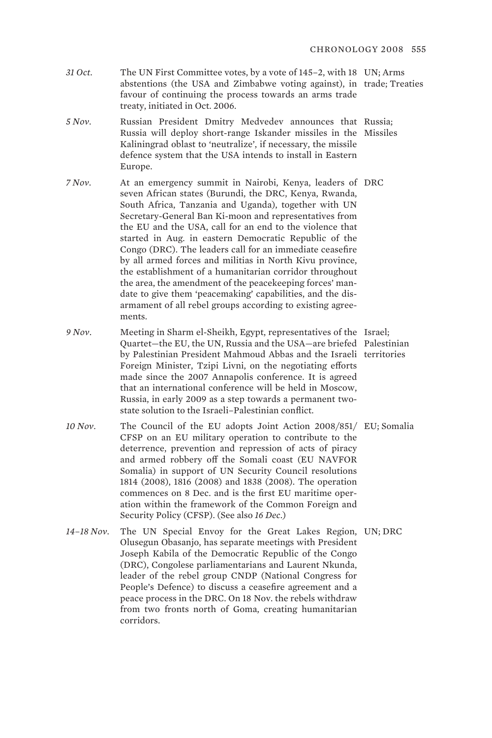- *31 Oct.* The UN First Committee votes, by a vote of 145–2, with 18 UN; Arms abstentions (the USA and Zimbabwe voting against), in trade; Treaties favour of continuing the process towards an arms trade treaty, initiated in Oct. 2006.
- *5 Nov.* Russian President Dmitry Medvedev announces that Russia; Russia will deploy short-range Iskander missiles in the Missiles Kaliningrad oblast to 'neutralize', if necessary, the missile defence system that the USA intends to install in Eastern Europe.
- *7 Nov.* At an emergency summit in Nairobi, Kenya, leaders of DRC seven African states (Burundi, the DRC, Kenya, Rwanda, South Africa, Tanzania and Uganda), together with UN Secretary-General Ban Ki-moon and representatives from the EU and the USA, call for an end to the violence that started in Aug. in eastern Democratic Republic of the Congo (DRC). The leaders call for an immediate ceasefire by all armed forces and militias in North Kivu province, the establishment of a humanitarian corridor throughout the area, the amendment of the peacekeeping forces' mandate to give them 'peacemaking' capabilities, and the disarmament of all rebel groups according to existing agreements.
- 9 Nov. Meeting in Sharm el-Sheikh, Egypt, representatives of the Israel; Quartet—the EU, the UN, Russia and the USA—are briefed Palestinian by Palestinian President Mahmoud Abbas and the Israeli territories Foreign Minister, Tzipi Livni, on the negotiating efforts made since the 2007 Annapolis conference. It is agreed that an international conference will be held in Moscow, Russia, in early 2009 as a step towards a permanent twostate solution to the Israeli–Palestinian conflict.
- *10 Nov.* The Council of the EU adopts Joint Action 2008/851/ EU; Somalia CFSP on an EU military operation to contribute to the deterrence, prevention and repression of acts of piracy and armed robbery off the Somali coast (EU NAVFOR Somalia) in support of UN Security Council resolutions 1814 (2008), 1816 (2008) and 1838 (2008). The operation commences on 8 Dec. and is the first EU maritime operation within the framework of the Common Foreign and Security Policy (CFSP). (See also *16 Dec*.)
- *14–18 Nov.* The UN Special Envoy for the Great Lakes Region, UN; DRC Olusegun Obasanjo, has separate meetings with President Joseph Kabila of the Democratic Republic of the Congo (DRC), Congolese parliamentarians and Laurent Nkunda, leader of the rebel group CNDP (National Congress for People's Defence) to discuss a ceasefire agreement and a peace process in the DRC. On 18 Nov. the rebels withdraw from two fronts north of Goma, creating humanitarian corridors.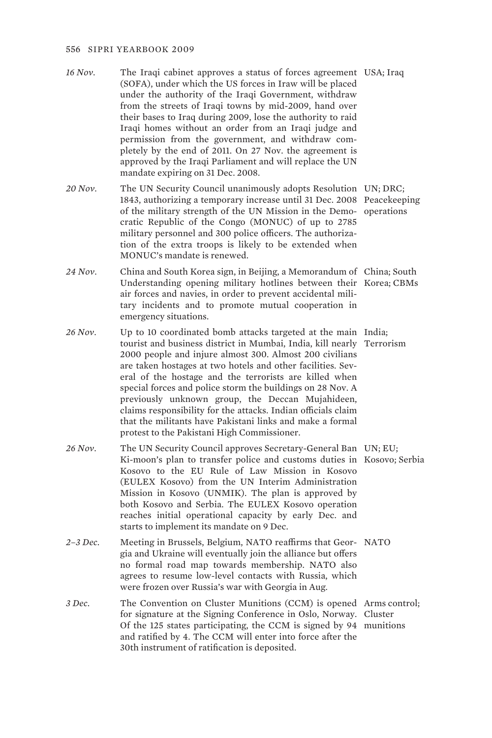- *16 Nov.* The Iraqi cabinet approves a status of forces agreement USA; Iraq (SOFA), under which the US forces in Iraw will be placed under the authority of the Iraqi Government, withdraw from the streets of Iraqi towns by mid-2009, hand over their bases to Iraq during 2009, lose the authority to raid Iraqi homes without an order from an Iraqi judge and permission from the government, and withdraw completely by the end of 2011. On 27 Nov. the agreement is approved by the Iraqi Parliament and will replace the UN mandate expiring on 31 Dec. 2008.
- *20 Nov.* The UN Security Council unanimously adopts Resolution UN; DRC; 1843, authorizing a temporary increase until 31 Dec. 2008 Peacekeeping of the military strength of the UN Mission in the Demo-operations cratic Republic of the Congo (MONUC) of up to 2785 military personnel and 300 police officers. The authorization of the extra troops is likely to be extended when MONUC's mandate is renewed.
- *24 Nov.* China and South Korea sign, in Beijing, a Memorandum of China; South Understanding opening military hotlines between their Korea; CBMs air forces and navies, in order to prevent accidental military incidents and to promote mutual cooperation in emergency situations.
- *26 Nov.* Up to 10 coordinated bomb attacks targeted at the main India; tourist and business district in Mumbai, India, kill nearly Terrorism 2000 people and injure almost 300. Almost 200 civilians are taken hostages at two hotels and other facilities. Several of the hostage and the terrorists are killed when special forces and police storm the buildings on 28 Nov. A previously unknown group, the Deccan Mujahideen, claims responsibility for the attacks. Indian officials claim that the militants have Pakistani links and make a formal protest to the Pakistani High Commissioner.
- *26 Nov.* The UN Security Council approves Secretary-General Ban UN; EU; Ki-moon's plan to transfer police and customs duties in Kosovo; Serbia Kosovo to the EU Rule of Law Mission in Kosovo (EULEX Kosovo) from the UN Interim Administration Mission in Kosovo (UNMIK). The plan is approved by both Kosovo and Serbia. The EULEX Kosovo operation reaches initial operational capacity by early Dec. and starts to implement its mandate on 9 Dec.
- 2-3 Dec. Meeting in Brussels, Belgium, NATO reaffirms that Geor- NATO gia and Ukraine will eventually join the alliance but offers no formal road map towards membership. NATO also agrees to resume low-level contacts with Russia, which were frozen over Russia's war with Georgia in Aug.
- *3 Dec.* The Convention on Cluster Munitions (CCM) is opened Arms control; for signature at the Signing Conference in Oslo, Norway. Cluster Of the 125 states participating, the CCM is signed by 94 munitions and ratified by 4. The CCM will enter into force after the 30th instrument of ratification is deposited.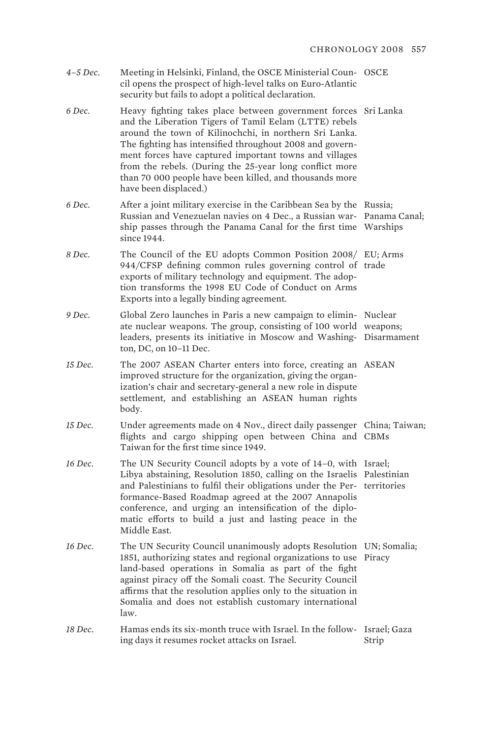- *4–5 Dec.* Meeting in Helsinki, Finland, the OSCE Ministerial Coun-OSCE cil opens the prospect of high-level talks on Euro-Atlantic security but fails to adopt a political declaration.
- *6 Dec.* Heavy fighting takes place between government forces Sri Lanka and the Liberation Tigers of Tamil Eelam (LTTE) rebels around the town of Kilinochchi, in northern Sri Lanka. The fighting has intensified throughout 2008 and government forces have captured important towns and villages from the rebels. (During the 25-year long conflict more than 70 000 people have been killed, and thousands more have been displaced.)
- *6 Dec.* After a joint military exercise in the Caribbean Sea by the Russia; Russian and Venezuelan navies on 4 Dec., a Russian war-Panama Canal; ship passes through the Panama Canal for the first time Warships since 1944.
- *8 Dec.* The Council of the EU adopts Common Position 2008/ EU; Arms 944/CFSP defining common rules governing control of trade exports of military technology and equipment. The adoption transforms the 1998 EU Code of Conduct on Arms Exports into a legally binding agreement.
- *9 Dec.* Global Zero launches in Paris a new campaign to elimin-Nuclear ate nuclear weapons. The group, consisting of 100 world weapons; leaders, presents its initiative in Moscow and Washing-Disarmament ton, DC, on 10–11 Dec.
- *15 Dec.* The 2007 ASEAN Charter enters into force, creating an ASEAN improved structure for the organization, giving the organization's chair and secretary-general a new role in dispute settlement, and establishing an ASEAN human rights body.
- *15 Dec.* Under agreements made on 4 Nov., direct daily passenger China; Taiwan; flights and cargo shipping open between China and CBMs Taiwan for the first time since 1949.
- *16 Dec.* The UN Security Council adopts by a vote of 14–0, with Israel; Libya abstaining, Resolution 1850, calling on the Israelis Palestinian and Palestinians to fulfil their obligations under the Per-territories formance-Based Roadmap agreed at the 2007 Annapolis conference, and urging an intensification of the diplomatic efforts to build a just and lasting peace in the Middle East.
- 16 Dec. The UN Security Council unanimously adopts Resolution UN; Somalia; 1851, authorizing states and regional organizations to use Piracy land-based operations in Somalia as part of the fight against piracy off the Somali coast. The Security Council affirms that the resolution applies only to the situation in Somalia and does not establish customary international law.
- 18 Dec. Hamas ends its six-month truce with Israel. In the follow- Israel; Gaza ing days it resumes rocket attacks on Israel. Strip